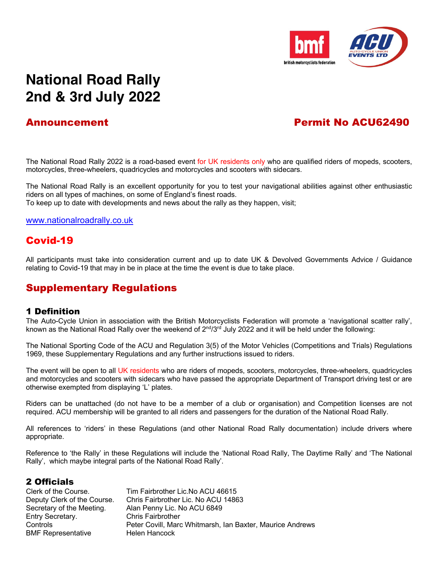

# **National Road Rally 2nd & 3rd July 2022**

# Announcement Permit No ACU62490

The National Road Rally 2022 is a road-based event for UK residents only who are qualified riders of mopeds, scooters, motorcycles, three-wheelers, quadricycles and motorcycles and scooters with sidecars.

The National Road Rally is an excellent opportunity for you to test your navigational abilities against other enthusiastic riders on all types of machines, on some of England's finest roads.

To keep up to date with developments and news about the rally as they happen, visit;

www.nationalroadrally.co.uk

# Covid-19

All participants must take into consideration current and up to date UK & Devolved Governments Advice / Guidance relating to Covid-19 that may in be in place at the time the event is due to take place.

# Supplementary Regulations

#### 1 Definition

The Auto-Cycle Union in association with the British Motorcyclists Federation will promote a 'navigational scatter rally', known as the National Road Rally over the weekend of  $2^{nd}/3^{rd}$  July 2022 and it will be held under the following:

The National Sporting Code of the ACU and Regulation 3(5) of the Motor Vehicles (Competitions and Trials) Regulations 1969, these Supplementary Regulations and any further instructions issued to riders.

The event will be open to all UK residents who are riders of mopeds, scooters, motorcycles, three-wheelers, quadricycles and motorcycles and scooters with sidecars who have passed the appropriate Department of Transport driving test or are otherwise exempted from displaying 'L' plates.

Riders can be unattached (do not have to be a member of a club or organisation) and Competition licenses are not required. ACU membership will be granted to all riders and passengers for the duration of the National Road Rally.

All references to 'riders' in these Regulations (and other National Road Rally documentation) include drivers where appropriate.

Reference to 'the Rally' in these Regulations will include the 'National Road Rally, The Daytime Rally' and 'The National Rally', which maybe integral parts of the National Road Rally'.

#### 2 Officials

| Tim Fairbrother Lic. No ACU 46615                         |
|-----------------------------------------------------------|
| Chris Fairbrother Lic. No ACU 14863                       |
| Alan Penny Lic. No ACU 6849                               |
| <b>Chris Fairbrother</b>                                  |
| Peter Covill, Marc Whitmarsh, Ian Baxter, Maurice Andrews |
| Helen Hancock                                             |
|                                                           |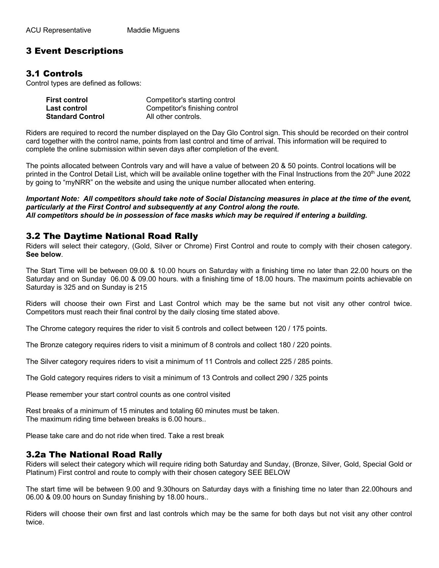# 3 Event Descriptions

#### 3.1 Controls

Control types are defined as follows:

| <b>First control</b>    | Competitor's starting control  |
|-------------------------|--------------------------------|
| Last control            | Competitor's finishing control |
| <b>Standard Control</b> | All other controls.            |

Riders are required to record the number displayed on the Day Glo Control sign. This should be recorded on their control card together with the control name, points from last control and time of arrival. This information will be required to complete the online submission within seven days after completion of the event.

The points allocated between Controls vary and will have a value of between 20 & 50 points. Control locations will be printed in the Control Detail List, which will be available online together with the Final Instructions from the 20<sup>th</sup> June 2022 by going to "myNRR" on the website and using the unique number allocated when entering.

*Important Note: All competitors should take note of Social Distancing measures in place at the time of the event, particularly at the First Control and subsequently at any Control along the route. All competitors should be in possession of face masks which may be required if entering a building.*

#### 3.2 The Daytime National Road Rally

Riders will select their category, (Gold, Silver or Chrome) First Control and route to comply with their chosen category. **See below**.

The Start Time will be between 09.00 & 10.00 hours on Saturday with a finishing time no later than 22.00 hours on the Saturday and on Sunday 06.00 & 09.00 hours. with a finishing time of 18.00 hours. The maximum points achievable on Saturday is 325 and on Sunday is 215

Riders will choose their own First and Last Control which may be the same but not visit any other control twice. Competitors must reach their final control by the daily closing time stated above.

The Chrome category requires the rider to visit 5 controls and collect between 120 / 175 points.

The Bronze category requires riders to visit a minimum of 8 controls and collect 180 / 220 points.

The Silver category requires riders to visit a minimum of 11 Controls and collect 225 / 285 points.

The Gold category requires riders to visit a minimum of 13 Controls and collect 290 / 325 points

Please remember your start control counts as one control visited

Rest breaks of a minimum of 15 minutes and totaling 60 minutes must be taken. The maximum riding time between breaks is 6.00 hours..

Please take care and do not ride when tired. Take a rest break

#### 3.2a The National Road Rally

Riders will select their category which will require riding both Saturday and Sunday, (Bronze, Silver, Gold, Special Gold or Platinum) First control and route to comply with their chosen category SEE BELOW

The start time will be between 9.00 and 9.30hours on Saturday days with a finishing time no later than 22.00hours and 06.00 & 09.00 hours on Sunday finishing by 18.00 hours..

Riders will choose their own first and last controls which may be the same for both days but not visit any other control twice.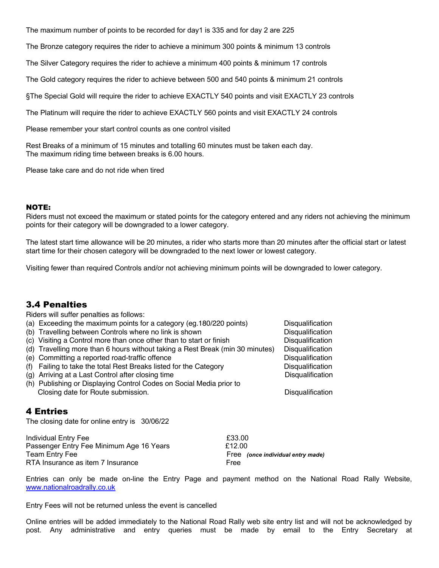The maximum number of points to be recorded for day1 is 335 and for day 2 are 225

The Bronze category requires the rider to achieve a minimum 300 points & minimum 13 controls

The Silver Category requires the rider to achieve a minimum 400 points & minimum 17 controls

The Gold category requires the rider to achieve between 500 and 540 points & minimum 21 controls

§The Special Gold will require the rider to achieve EXACTLY 540 points and visit EXACTLY 23 controls

The Platinum will require the rider to achieve EXACTLY 560 points and visit EXACTLY 24 controls

Please remember your start control counts as one control visited

Rest Breaks of a minimum of 15 minutes and totalling 60 minutes must be taken each day. The maximum riding time between breaks is 6.00 hours.

Please take care and do not ride when tired

#### NOTE:

Riders must not exceed the maximum or stated points for the category entered and any riders not achieving the minimum points for their category will be downgraded to a lower category.

The latest start time allowance will be 20 minutes, a rider who starts more than 20 minutes after the official start or latest start time for their chosen category will be downgraded to the next lower or lowest category.

Visiting fewer than required Controls and/or not achieving minimum points will be downgraded to lower category.

#### 3.4 Penalties

Riders will suffer penalties as follows:

|                                                                      | (a) Exceeding the maximum points for a category (eg. 180/220 points)<br>(b) Travelling between Controls where no link is shown | <b>Disqualification</b><br>Disqualification |  |
|----------------------------------------------------------------------|--------------------------------------------------------------------------------------------------------------------------------|---------------------------------------------|--|
|                                                                      | (c) Visiting a Control more than once other than to start or finish                                                            | Disqualification                            |  |
|                                                                      | (d) Travelling more than 6 hours without taking a Rest Break (min 30 minutes)                                                  | Disqualification                            |  |
|                                                                      | (e) Committing a reported road-traffic offence                                                                                 | Disqualification                            |  |
| Failing to take the total Rest Breaks listed for the Category<br>(f) | Disqualification                                                                                                               |                                             |  |
| (g) Arriving at a Last Control after closing time                    | Disqualification                                                                                                               |                                             |  |
|                                                                      | (h) Publishing or Displaying Control Codes on Social Media prior to                                                            |                                             |  |
|                                                                      | Closing date for Route submission.                                                                                             | Disqualification                            |  |
| <b>4 Entries</b>                                                     |                                                                                                                                |                                             |  |
| The closing date for online entry is 30/06/22                        |                                                                                                                                |                                             |  |

Individual Entry Fee<br>Passenger Entry Fee Minimum Age 16 Years **E**12.00 Passenger Entry Fee Minimum Age 16 Years Team Entry Fee **Free** *(once individual entry made)* Free *(once individual entry made)* RTA Insurance as item 7 Insurance Free

Entries can only be made on-line the Entry Page and payment method on the National Road Rally Website, www.nationalroadrally.co.uk

Entry Fees will not be returned unless the event is cancelled

Online entries will be added immediately to the National Road Rally web site entry list and will not be acknowledged by post. Any administrative and entry queries must be made by email to the Entry Secretary at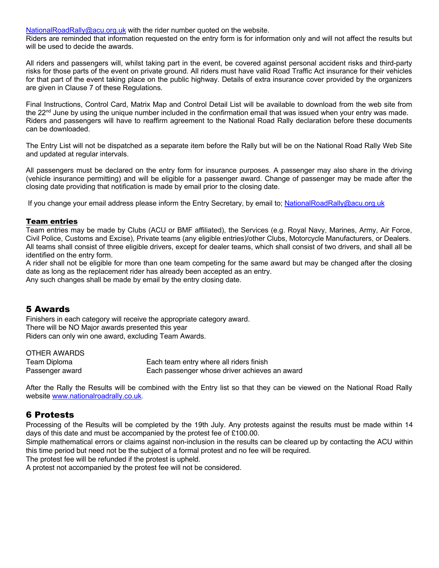NationalRoadRally@acu.org.uk with the rider number quoted on the website.

Riders are reminded that information requested on the entry form is for information only and will not affect the results but will be used to decide the awards.

All riders and passengers will, whilst taking part in the event, be covered against personal accident risks and third-party risks for those parts of the event on private ground. All riders must have valid Road Traffic Act insurance for their vehicles for that part of the event taking place on the public highway. Details of extra insurance cover provided by the organizers are given in Clause 7 of these Regulations.

Final Instructions, Control Card, Matrix Map and Control Detail List will be available to download from the web site from the  $22<sup>nd</sup>$  June by using the unique number included in the confirmation email that was issued when your entry was made. Riders and passengers will have to reaffirm agreement to the National Road Rally declaration before these documents can be downloaded.

The Entry List will not be dispatched as a separate item before the Rally but will be on the National Road Rally Web Site and updated at regular intervals.

All passengers must be declared on the entry form for insurance purposes. A passenger may also share in the driving (vehicle insurance permitting) and will be eligible for a passenger award. Change of passenger may be made after the closing date providing that notification is made by email prior to the closing date.

If you change your email address please inform the Entry Secretary, by email to; NationalRoadRally@acu.org.uk

#### Team entries

Team entries may be made by Clubs (ACU or BMF affiliated), the Services (e.g. Royal Navy, Marines, Army, Air Force, Civil Police, Customs and Excise), Private teams (any eligible entries)/other Clubs, Motorcycle Manufacturers, or Dealers. All teams shall consist of three eligible drivers, except for dealer teams, which shall consist of two drivers, and shall all be identified on the entry form.

A rider shall not be eligible for more than one team competing for the same award but may be changed after the closing date as long as the replacement rider has already been accepted as an entry.

Any such changes shall be made by email by the entry closing date.

#### 5 Awards

Finishers in each category will receive the appropriate category award. There will be NO Major awards presented this year Riders can only win one award, excluding Team Awards.

| OTHER AWARDS    |                                               |
|-----------------|-----------------------------------------------|
| Team Diploma    | Each team entry where all riders finish       |
| Passenger award | Each passenger whose driver achieves an award |

After the Rally the Results will be combined with the Entry list so that they can be viewed on the National Road Rally website www.nationalroadrally.co.uk.

#### 6 Protests

Processing of the Results will be completed by the 19th July. Any protests against the results must be made within 14 days of this date and must be accompanied by the protest fee of £100.00.

Simple mathematical errors or claims against non-inclusion in the results can be cleared up by contacting the ACU within this time period but need not be the subject of a formal protest and no fee will be required.

The protest fee will be refunded if the protest is upheld.

A protest not accompanied by the protest fee will not be considered.